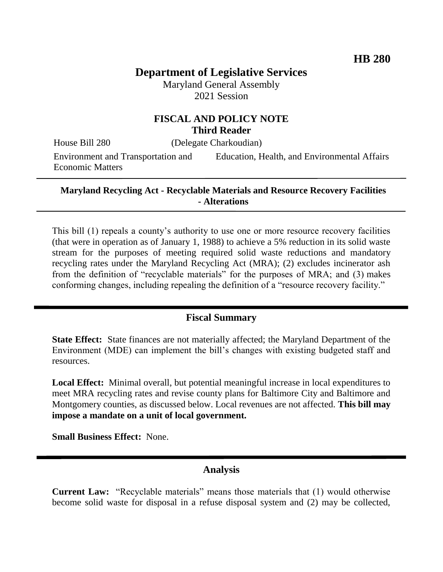# **Department of Legislative Services**

Maryland General Assembly 2021 Session

### **FISCAL AND POLICY NOTE Third Reader**

House Bill 280 (Delegate Charkoudian)

Environment and Transportation and Economic Matters

Education, Health, and Environmental Affairs

#### **Maryland Recycling Act - Recyclable Materials and Resource Recovery Facilities - Alterations**

This bill (1) repeals a county's authority to use one or more resource recovery facilities (that were in operation as of January 1, 1988) to achieve a 5% reduction in its solid waste stream for the purposes of meeting required solid waste reductions and mandatory recycling rates under the Maryland Recycling Act (MRA); (2) excludes incinerator ash from the definition of "recyclable materials" for the purposes of MRA; and (3) makes conforming changes, including repealing the definition of a "resource recovery facility."

### **Fiscal Summary**

**State Effect:** State finances are not materially affected; the Maryland Department of the Environment (MDE) can implement the bill's changes with existing budgeted staff and resources.

**Local Effect:** Minimal overall, but potential meaningful increase in local expenditures to meet MRA recycling rates and revise county plans for Baltimore City and Baltimore and Montgomery counties, as discussed below. Local revenues are not affected. **This bill may impose a mandate on a unit of local government.**

**Small Business Effect:** None.

### **Analysis**

**Current Law:** "Recyclable materials" means those materials that (1) would otherwise become solid waste for disposal in a refuse disposal system and (2) may be collected,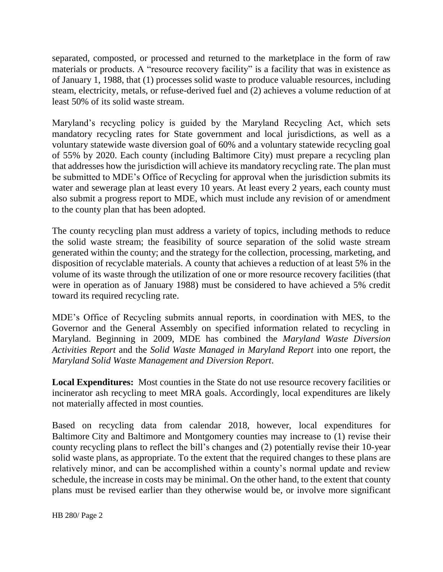separated, composted, or processed and returned to the marketplace in the form of raw materials or products. A "resource recovery facility" is a facility that was in existence as of January 1, 1988, that (1) processes solid waste to produce valuable resources, including steam, electricity, metals, or refuse-derived fuel and (2) achieves a volume reduction of at least 50% of its solid waste stream.

Maryland's recycling policy is guided by the Maryland Recycling Act, which sets mandatory recycling rates for State government and local jurisdictions, as well as a voluntary statewide waste diversion goal of 60% and a voluntary statewide recycling goal of 55% by 2020. Each county (including Baltimore City) must prepare a recycling plan that addresses how the jurisdiction will achieve its mandatory recycling rate. The plan must be submitted to MDE's Office of Recycling for approval when the jurisdiction submits its water and sewerage plan at least every 10 years. At least every 2 years, each county must also submit a progress report to MDE, which must include any revision of or amendment to the county plan that has been adopted.

The county recycling plan must address a variety of topics, including methods to reduce the solid waste stream; the feasibility of source separation of the solid waste stream generated within the county; and the strategy for the collection, processing, marketing, and disposition of recyclable materials. A county that achieves a reduction of at least 5% in the volume of its waste through the utilization of one or more resource recovery facilities (that were in operation as of January 1988) must be considered to have achieved a 5% credit toward its required recycling rate.

MDE's Office of Recycling submits annual reports, in coordination with MES, to the Governor and the General Assembly on specified information related to recycling in Maryland. Beginning in 2009, MDE has combined the *Maryland Waste Diversion Activities Report* and the *Solid Waste Managed in Maryland Report* into one report, the *Maryland Solid Waste Management and Diversion Report*.

**Local Expenditures:** Most counties in the State do not use resource recovery facilities or incinerator ash recycling to meet MRA goals. Accordingly, local expenditures are likely not materially affected in most counties.

Based on recycling data from calendar 2018, however, local expenditures for Baltimore City and Baltimore and Montgomery counties may increase to (1) revise their county recycling plans to reflect the bill's changes and (2) potentially revise their 10-year solid waste plans, as appropriate. To the extent that the required changes to these plans are relatively minor, and can be accomplished within a county's normal update and review schedule, the increase in costs may be minimal. On the other hand, to the extent that county plans must be revised earlier than they otherwise would be, or involve more significant